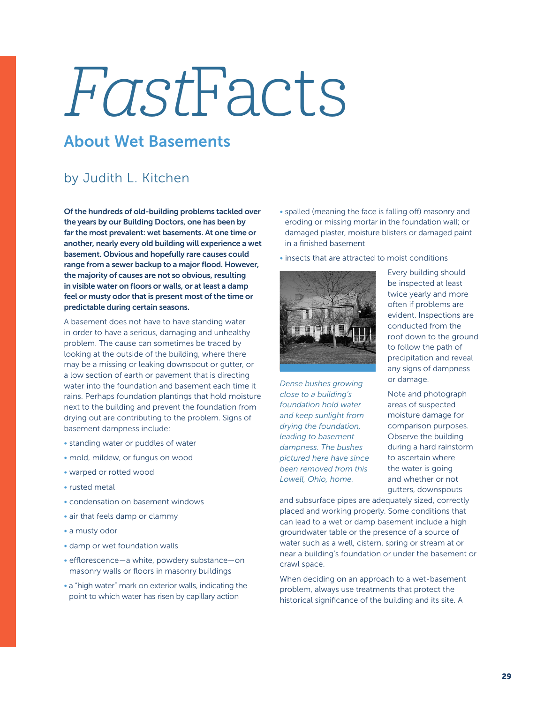## FastFacts

## About Wet Basements

## by Judith L. Kitchen

Of the hundreds of old-building problems tackled over the years by our Building Doctors, one has been by far the most prevalent: wet basements. At one time or another, nearly every old building will experience a wet basement. Obvious and hopefully rare causes could range from a sewer backup to a major flood. However, the majority of causes are not so obvious, resulting in visible water on floors or walls, or at least a damp feel or musty odor that is present most of the time or predictable during certain seasons.

A basement does not have to have standing water in order to have a serious, damaging and unhealthy problem. The cause can sometimes be traced by looking at the outside of the building, where there may be a missing or leaking downspout or gutter, or a low section of earth or pavement that is directing water into the foundation and basement each time it rains. Perhaps foundation plantings that hold moisture next to the building and prevent the foundation from drying out are contributing to the problem. Signs of basement dampness include:

- standing water or puddles of water
- mold, mildew, or fungus on wood
- warped or rotted wood
- rusted metal
- condensation on basement windows
- air that feels damp or clammy
- a musty odor
- damp or wet foundation walls
- efflorescence—a white, powdery substance—on masonry walls or floors in masonry buildings
- a "high water" mark on exterior walls, indicating the point to which water has risen by capillary action
- spalled (meaning the face is falling off) masonry and eroding or missing mortar in the foundation wall; or damaged plaster, moisture blisters or damaged paint in a finished basement
- insects that are attracted to moist conditions



*Dense bushes growing close to a building's foundation hold water and keep sunlight from drying the foundation, leading to basement dampness. The bushes pictured here have since been removed from this Lowell, Ohio, home.*

Every building should be inspected at least twice yearly and more often if problems are evident. Inspections are conducted from the roof down to the ground to follow the path of precipitation and reveal any signs of dampness or damage.

Note and photograph areas of suspected moisture damage for comparison purposes. Observe the building during a hard rainstorm to ascertain where the water is going and whether or not gutters, downspouts

and subsurface pipes are adequately sized, correctly placed and working properly. Some conditions that can lead to a wet or damp basement include a high groundwater table or the presence of a source of water such as a well, cistern, spring or stream at or near a building's foundation or under the basement or crawl space.

When deciding on an approach to a wet-basement problem, always use treatments that protect the historical significance of the building and its site. A